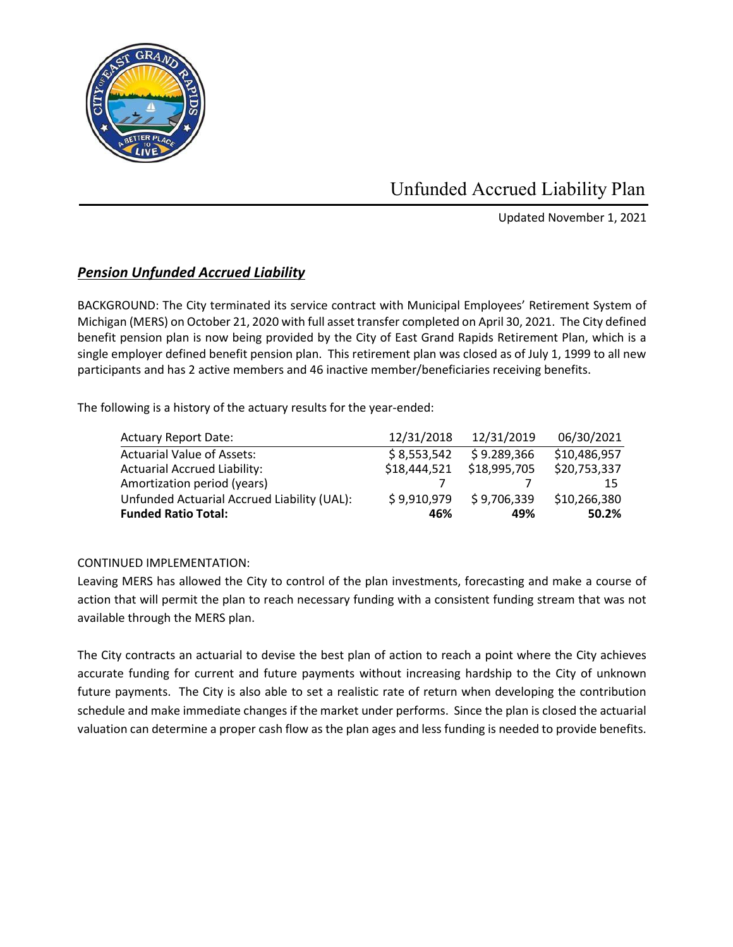

Unfunded Accrued Liability Plan

Updated November 1, 2021

## *Pension Unfunded Accrued Liability*

BACKGROUND: The City terminated its service contract with Municipal Employees' Retirement System of Michigan (MERS) on October 21, 2020 with full asset transfer completed on April 30, 2021. The City defined benefit pension plan is now being provided by the City of East Grand Rapids Retirement Plan, which is a single employer defined benefit pension plan. This retirement plan was closed as of July 1, 1999 to all new participants and has 2 active members and 46 inactive member/beneficiaries receiving benefits.

The following is a history of the actuary results for the year-ended:

| <b>Actuary Report Date:</b>                 | 12/31/2018   | 12/31/2019   | 06/30/2021   |
|---------------------------------------------|--------------|--------------|--------------|
| <b>Actuarial Value of Assets:</b>           | \$8,553,542  | \$9.289,366  | \$10,486,957 |
| <b>Actuarial Accrued Liability:</b>         | \$18,444,521 | \$18,995,705 | \$20,753,337 |
| Amortization period (years)                 |              |              | 15           |
| Unfunded Actuarial Accrued Liability (UAL): | \$9,910,979  | \$9,706,339  | \$10,266,380 |
| <b>Funded Ratio Total:</b>                  | 46%          | 49%          | 50.2%        |

## CONTINUED IMPLEMENTATION:

Leaving MERS has allowed the City to control of the plan investments, forecasting and make a course of action that will permit the plan to reach necessary funding with a consistent funding stream that was not available through the MERS plan.

The City contracts an actuarial to devise the best plan of action to reach a point where the City achieves accurate funding for current and future payments without increasing hardship to the City of unknown future payments. The City is also able to set a realistic rate of return when developing the contribution schedule and make immediate changes if the market under performs. Since the plan is closed the actuarial valuation can determine a proper cash flow as the plan ages and less funding is needed to provide benefits.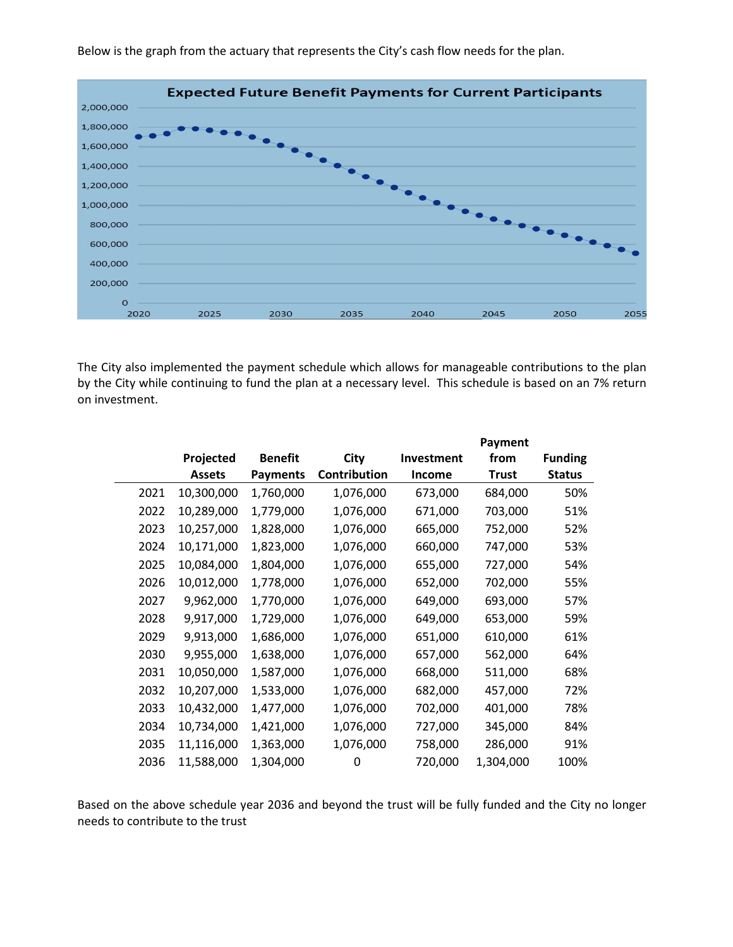

Below is the graph from the actuary that represents the City's cash flow needs for the plan.

The City also implemented the payment schedule which allows for manageable contributions to the plan by the City while continuing to fund the plan at a necessary level. This schedule is based on an 7% return on investment.

|      |               |                 |              | Payment       |              |                |
|------|---------------|-----------------|--------------|---------------|--------------|----------------|
|      | Projected     | <b>Benefit</b>  | City         | Investment    | from         | <b>Funding</b> |
|      | <b>Assets</b> | <b>Payments</b> | Contribution | <b>Income</b> | <b>Trust</b> | <b>Status</b>  |
| 2021 | 10,300,000    | 1,760,000       | 1,076,000    | 673,000       | 684,000      | 50%            |
| 2022 | 10,289,000    | 1,779,000       | 1,076,000    | 671,000       | 703,000      | 51%            |
| 2023 | 10,257,000    | 1,828,000       | 1,076,000    | 665,000       | 752,000      | 52%            |
| 2024 | 10,171,000    | 1,823,000       | 1,076,000    | 660,000       | 747,000      | 53%            |
| 2025 | 10,084,000    | 1,804,000       | 1,076,000    | 655,000       | 727,000      | 54%            |
| 2026 | 10,012,000    | 1,778,000       | 1,076,000    | 652,000       | 702,000      | 55%            |
| 2027 | 9,962,000     | 1,770,000       | 1,076,000    | 649,000       | 693,000      | 57%            |
| 2028 | 9,917,000     | 1,729,000       | 1,076,000    | 649,000       | 653,000      | 59%            |
| 2029 | 9,913,000     | 1,686,000       | 1,076,000    | 651,000       | 610,000      | 61%            |
| 2030 | 9,955,000     | 1,638,000       | 1,076,000    | 657,000       | 562,000      | 64%            |
| 2031 | 10,050,000    | 1,587,000       | 1,076,000    | 668,000       | 511,000      | 68%            |
| 2032 | 10,207,000    | 1,533,000       | 1,076,000    | 682,000       | 457,000      | 72%            |
| 2033 | 10,432,000    | 1,477,000       | 1,076,000    | 702,000       | 401,000      | 78%            |
| 2034 | 10,734,000    | 1,421,000       | 1,076,000    | 727,000       | 345,000      | 84%            |
| 2035 | 11,116,000    | 1,363,000       | 1,076,000    | 758,000       | 286,000      | 91%            |
| 2036 | 11,588,000    | 1,304,000       | 0            | 720,000       | 1,304,000    | 100%           |

Based on the above schedule year 2036 and beyond the trust will be fully funded and the City no longer needs to contribute to the trust